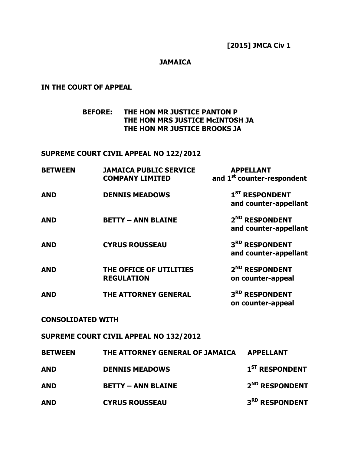### **JAMAICA**

# **IN THE COURT OF APPEAL**

**BEFORE: THE HON MR JUSTICE PANTON P THE HON MRS JUSTICE McINTOSH JA THE HON MR JUSTICE BROOKS JA** 

## **SUPREME COURT CIVIL APPEAL NO 122/2012**

| <b>BETWEEN</b>           | <b>JAMAICA PUBLIC SERVICE</b><br><b>COMPANY LIMITED</b> | <b>APPELLANT</b><br>and 1 <sup>st</sup> counter-respondent |
|--------------------------|---------------------------------------------------------|------------------------------------------------------------|
| <b>AND</b>               | <b>DENNIS MEADOWS</b>                                   | $1ST$ RESPONDENT<br>and counter-appellant                  |
| <b>AND</b>               | <b>BETTY - ANN BLAINE</b>                               | 2 <sup>ND</sup> RESPONDENT<br>and counter-appellant        |
| <b>AND</b>               | <b>CYRUS ROUSSEAU</b>                                   | 3RD RESPONDENT<br>and counter-appellant                    |
| <b>AND</b>               | THE OFFICE OF UTILITIES<br><b>REGULATION</b>            | 2 <sup>ND</sup> RESPONDENT<br>on counter-appeal            |
| <b>AND</b>               | <b>THE ATTORNEY GENERAL</b>                             | 3RD RESPONDENT<br>on counter-appeal                        |
| <b>CONSOLIDATED WITH</b> |                                                         |                                                            |
|                          | SUPREME COURT CIVIL APPEAL NO 132/2012                  |                                                            |
| <b>BETWEEN</b>           | THE ATTORNEY GENERAL OF JAMAICA                         | <b>APPELLANT</b>                                           |
| <b>AND</b>               | <b>DENNIS MEADOWS</b>                                   | $\boldsymbol{1}^{\texttt{ST}}$ respondent                  |
| <b>AND</b>               | <b>BETTY - ANN BLAINE</b>                               | 2 <sup>ND</sup> RESPONDENT                                 |
| <b>AND</b>               | <b>CYRUS ROUSSEAU</b>                                   | 3RD RESPONDENT                                             |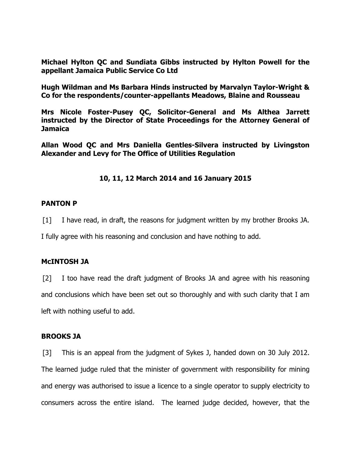**Michael Hylton QC and Sundiata Gibbs instructed by Hylton Powell for the appellant Jamaica Public Service Co Ltd** 

**Hugh Wildman and Ms Barbara Hinds instructed by Marvalyn Taylor-Wright & Co for the respondents/counter-appellants Meadows, Blaine and Rousseau** 

**Mrs Nicole Foster-Pusey QC, Solicitor-General and Ms Althea Jarrett instructed by the Director of State Proceedings for the Attorney General of Jamaica** 

**Allan Wood QC and Mrs Daniella Gentles-Silvera instructed by Livingston Alexander and Levy for The Office of Utilities Regulation** 

# **10, 11, 12 March 2014 and 16 January 2015**

## **PANTON P**

[1] I have read, in draft, the reasons for judgment written by my brother Brooks JA.

I fully agree with his reasoning and conclusion and have nothing to add.

### **McINTOSH JA**

[2] I too have read the draft judgment of Brooks JA and agree with his reasoning and conclusions which have been set out so thoroughly and with such clarity that I am left with nothing useful to add.

### **BROOKS JA**

[3] This is an appeal from the judgment of Sykes J, handed down on 30 July 2012. The learned judge ruled that the minister of government with responsibility for mining and energy was authorised to issue a licence to a single operator to supply electricity to consumers across the entire island. The learned judge decided, however, that the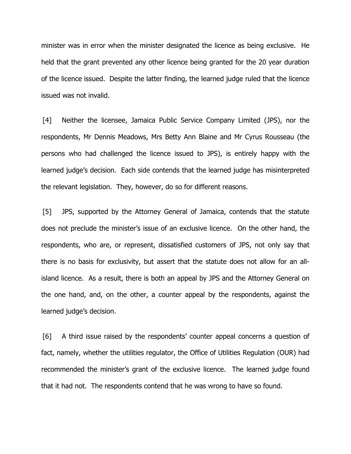minister was in error when the minister designated the licence as being exclusive. He held that the grant prevented any other licence being granted for the 20 year duration of the licence issued. Despite the latter finding, the learned judge ruled that the licence issued was not invalid.

[4] Neither the licensee, Jamaica Public Service Company Limited (JPS), nor the respondents, Mr Dennis Meadows, Mrs Betty Ann Blaine and Mr Cyrus Rousseau (the persons who had challenged the licence issued to JPS), is entirely happy with the learned judge's decision. Each side contends that the learned judge has misinterpreted the relevant legislation. They, however, do so for different reasons.

[5] JPS, supported by the Attorney General of Jamaica, contends that the statute does not preclude the minister's issue of an exclusive licence. On the other hand, the respondents, who are, or represent, dissatisfied customers of JPS, not only say that there is no basis for exclusivity, but assert that the statute does not allow for an allisland licence. As a result, there is both an appeal by JPS and the Attorney General on the one hand, and, on the other, a counter appeal by the respondents, against the learned judge's decision.

[6] A third issue raised by the respondents' counter appeal concerns a question of fact, namely, whether the utilities regulator, the Office of Utilities Regulation (OUR) had recommended the minister's grant of the exclusive licence. The learned judge found that it had not. The respondents contend that he was wrong to have so found.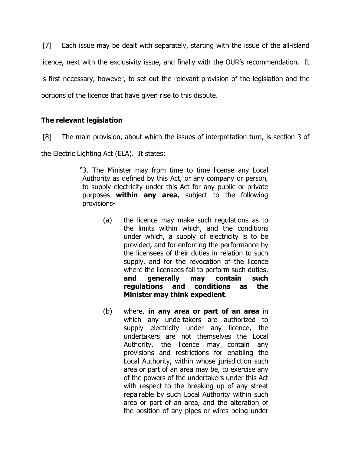[7] Each issue may be dealt with separately, starting with the issue of the all-island licence, next with the exclusivity issue, and finally with the OUR's recommendation. It is first necessary, however, to set out the relevant provision of the legislation and the portions of the licence that have given rise to this dispute.

# **The relevant legislation**

[8] The main provision, about which the issues of interpretation turn, is section 3 of

the Electric Lighting Act (ELA). It states:

"3. The Minister may from time to time license any Local Authority as defined by this Act, or any company or person, to supply electricity under this Act for any public or private purposes **within any area**, subject to the following provisions-

- (a) the licence may make such regulations as to the limits within which, and the conditions under which, a supply of electricity is to be provided, and for enforcing the performance by the licensees of their duties in relation to such supply, and for the revocation of the licence where the licensees fail to perform such duties, **and generally may contain such regulations and conditions as the Minister may think expedient**.
- (b) where, **in any area or part of an area** in which any undertakers are authorized to supply electricity under any licence, the undertakers are not themselves the Local Authority, the licence may contain any provisions and restrictions for enabling the Local Authority, within whose jurisdiction such area or part of an area may be, to exercise any of the powers of the undertakers under this Act with respect to the breaking up of any street repairable by such Local Authority within such area or part of an area, and the alteration of the position of any pipes or wires being under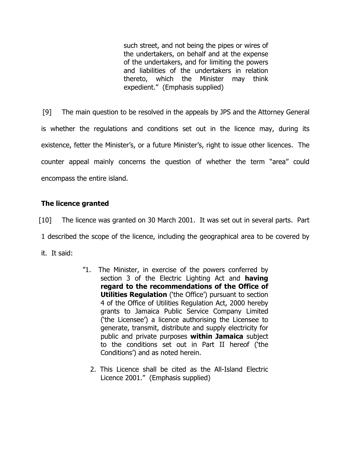such street, and not being the pipes or wires of the undertakers, on behalf and at the expense of the undertakers, and for limiting the powers and liabilities of the undertakers in relation thereto, which the Minister may think expedient." (Emphasis supplied)

[9] The main question to be resolved in the appeals by JPS and the Attorney General is whether the regulations and conditions set out in the licence may, during its existence, fetter the Minister's, or a future Minister's, right to issue other licences. The counter appeal mainly concerns the question of whether the term "area" could encompass the entire island.

# **The licence granted**

[10] The licence was granted on 30 March 2001. It was set out in several parts. Part

1 described the scope of the licence, including the geographical area to be covered by

it. It said:

- "1. The Minister, in exercise of the powers conferred by section 3 of the Electric Lighting Act and **having regard to the recommendations of the Office of Utilities Regulation** ('the Office') pursuant to section 4 of the Office of Utilities Regulation Act, 2000 hereby grants to Jamaica Public Service Company Limited ('the Licensee') a licence authorising the Licensee to generate, transmit, distribute and supply electricity for public and private purposes **within Jamaica** subject to the conditions set out in Part II hereof ('the Conditions') and as noted herein.
	- 2. This Licence shall be cited as the All-Island Electric Licence 2001." (Emphasis supplied)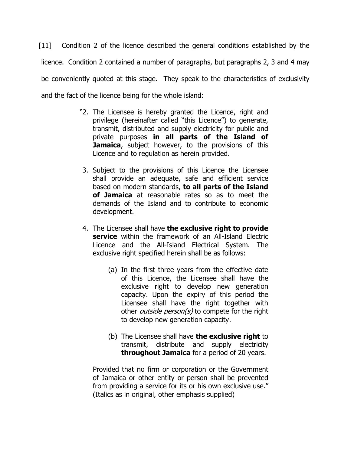[11] Condition 2 of the licence described the general conditions established by the licence. Condition 2 contained a number of paragraphs, but paragraphs 2, 3 and 4 may be conveniently quoted at this stage. They speak to the characteristics of exclusivity and the fact of the licence being for the whole island:

- "2. The Licensee is hereby granted the Licence, right and privilege (hereinafter called "this Licence") to generate, transmit, distributed and supply electricity for public and private purposes **in all parts of the Island of Jamaica**, subject however, to the provisions of this Licence and to regulation as herein provided.
- 3. Subject to the provisions of this Licence the Licensee shall provide an adequate, safe and efficient service based on modern standards, **to all parts of the Island of Jamaica** at reasonable rates so as to meet the demands of the Island and to contribute to economic development.
- 4. The Licensee shall have **the exclusive right to provide service** within the framework of an All-Island Electric Licence and the All-Island Electrical System. The exclusive right specified herein shall be as follows:
	- (a) In the first three years from the effective date of this Licence, the Licensee shall have the exclusive right to develop new generation capacity. Upon the expiry of this period the Licensee shall have the right together with other *outside person(s)* to compete for the right to develop new generation capacity.
	- (b) The Licensee shall have **the exclusive right** to transmit, distribute and supply electricity **throughout Jamaica** for a period of 20 years.

Provided that no firm or corporation or the Government of Jamaica or other entity or person shall be prevented from providing a service for its or his own exclusive use." (Italics as in original, other emphasis supplied)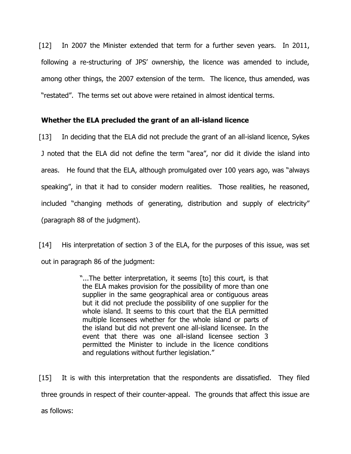[12] In 2007 the Minister extended that term for a further seven years. In 2011, following a re-structuring of JPS' ownership, the licence was amended to include, among other things, the 2007 extension of the term. The licence, thus amended, was "restated". The terms set out above were retained in almost identical terms.

## **Whether the ELA precluded the grant of an all-island licence**

[13] In deciding that the ELA did not preclude the grant of an all-island licence, Sykes J noted that the ELA did not define the term "area", nor did it divide the island into areas. He found that the ELA, although promulgated over 100 years ago, was "always speaking", in that it had to consider modern realities. Those realities, he reasoned, included "changing methods of generating, distribution and supply of electricity" (paragraph 88 of the judgment).

[14] His interpretation of section 3 of the ELA, for the purposes of this issue, was set out in paragraph 86 of the judgment:

> "...The better interpretation, it seems [to] this court, is that the ELA makes provision for the possibility of more than one supplier in the same geographical area or contiguous areas but it did not preclude the possibility of one supplier for the whole island. It seems to this court that the ELA permitted multiple licensees whether for the whole island or parts of the island but did not prevent one all-island licensee. In the event that there was one all-island licensee section 3 permitted the Minister to include in the licence conditions and regulations without further legislation."

[15] It is with this interpretation that the respondents are dissatisfied. They filed three grounds in respect of their counter-appeal. The grounds that affect this issue are as follows: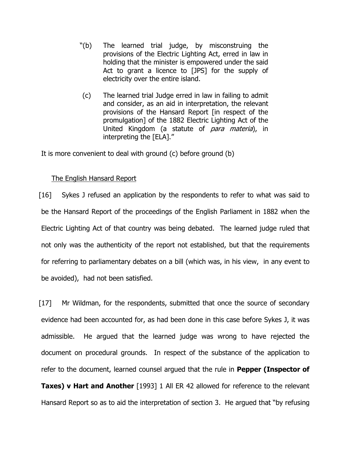- "(b) The learned trial judge, by misconstruing the provisions of the Electric Lighting Act, erred in law in holding that the minister is empowered under the said Act to grant a licence to [JPS] for the supply of electricity over the entire island.
- (c) The learned trial Judge erred in law in failing to admit and consider, as an aid in interpretation, the relevant provisions of the Hansard Report [in respect of the promulgation] of the 1882 Electric Lighting Act of the United Kingdom (a statute of para materia), in interpreting the [ELA]."

It is more convenient to deal with ground (c) before ground (b)

# The English Hansard Report

[16] Sykes J refused an application by the respondents to refer to what was said to be the Hansard Report of the proceedings of the English Parliament in 1882 when the Electric Lighting Act of that country was being debated. The learned judge ruled that not only was the authenticity of the report not established, but that the requirements for referring to parliamentary debates on a bill (which was, in his view, in any event to be avoided), had not been satisfied.

[17] Mr Wildman, for the respondents, submitted that once the source of secondary evidence had been accounted for, as had been done in this case before Sykes J, it was admissible. He argued that the learned judge was wrong to have rejected the document on procedural grounds. In respect of the substance of the application to refer to the document, learned counsel argued that the rule in **Pepper (Inspector of Taxes) v Hart and Another** [1993] 1 All ER 42 allowed for reference to the relevant Hansard Report so as to aid the interpretation of section 3. He argued that "by refusing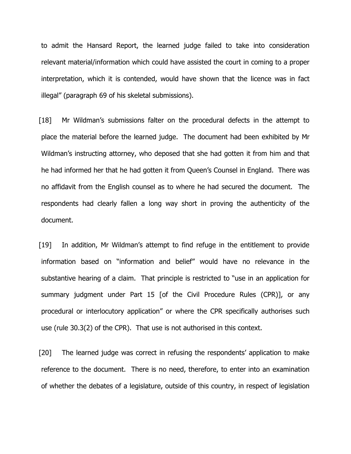to admit the Hansard Report, the learned judge failed to take into consideration relevant material/information which could have assisted the court in coming to a proper interpretation, which it is contended, would have shown that the licence was in fact illegal" (paragraph 69 of his skeletal submissions).

[18] Mr Wildman's submissions falter on the procedural defects in the attempt to place the material before the learned judge. The document had been exhibited by Mr Wildman's instructing attorney, who deposed that she had gotten it from him and that he had informed her that he had gotten it from Queen's Counsel in England. There was no affidavit from the English counsel as to where he had secured the document. The respondents had clearly fallen a long way short in proving the authenticity of the document.

[19] In addition, Mr Wildman's attempt to find refuge in the entitlement to provide information based on "information and belief" would have no relevance in the substantive hearing of a claim. That principle is restricted to "use in an application for summary judgment under Part 15 [of the Civil Procedure Rules (CPR)], or any procedural or interlocutory application" or where the CPR specifically authorises such use (rule 30.3(2) of the CPR). That use is not authorised in this context.

[20] The learned judge was correct in refusing the respondents' application to make reference to the document. There is no need, therefore, to enter into an examination of whether the debates of a legislature, outside of this country, in respect of legislation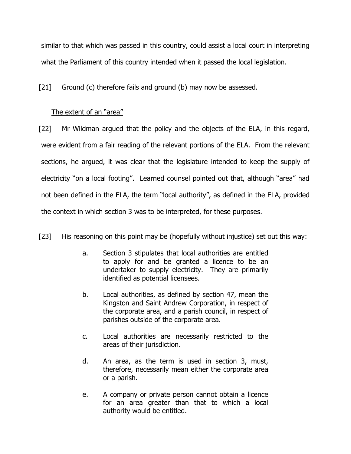similar to that which was passed in this country, could assist a local court in interpreting what the Parliament of this country intended when it passed the local legislation.

[21] Ground (c) therefore fails and ground (b) may now be assessed.

# The extent of an "area"

[22] Mr Wildman argued that the policy and the objects of the ELA, in this regard, were evident from a fair reading of the relevant portions of the ELA. From the relevant sections, he argued, it was clear that the legislature intended to keep the supply of electricity "on a local footing". Learned counsel pointed out that, although "area" had not been defined in the ELA, the term "local authority", as defined in the ELA, provided the context in which section 3 was to be interpreted, for these purposes.

[23] His reasoning on this point may be (hopefully without injustice) set out this way:

- a. Section 3 stipulates that local authorities are entitled to apply for and be granted a licence to be an undertaker to supply electricity. They are primarily identified as potential licensees.
- b. Local authorities, as defined by section 47, mean the Kingston and Saint Andrew Corporation, in respect of the corporate area, and a parish council, in respect of parishes outside of the corporate area.
- c. Local authorities are necessarily restricted to the areas of their jurisdiction.
- d. An area, as the term is used in section 3, must, therefore, necessarily mean either the corporate area or a parish.
- e. A company or private person cannot obtain a licence for an area greater than that to which a local authority would be entitled.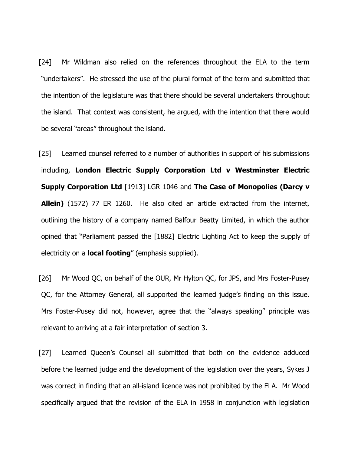[24] Mr Wildman also relied on the references throughout the ELA to the term "undertakers". He stressed the use of the plural format of the term and submitted that the intention of the legislature was that there should be several undertakers throughout the island. That context was consistent, he argued, with the intention that there would be several "areas" throughout the island.

[25] Learned counsel referred to a number of authorities in support of his submissions including, **London Electric Supply Corporation Ltd v Westminster Electric Supply Corporation Ltd** [1913] LGR 1046 and **The Case of Monopolies (Darcy v Allein)** (1572) 77 ER 1260. He also cited an article extracted from the internet, outlining the history of a company named Balfour Beatty Limited, in which the author opined that "Parliament passed the [1882] Electric Lighting Act to keep the supply of electricity on a **local footing**" (emphasis supplied).

[26] Mr Wood QC, on behalf of the OUR, Mr Hylton QC, for JPS, and Mrs Foster-Pusey QC, for the Attorney General, all supported the learned judge's finding on this issue. Mrs Foster-Pusey did not, however, agree that the "always speaking" principle was relevant to arriving at a fair interpretation of section 3.

[27] Learned Queen's Counsel all submitted that both on the evidence adduced before the learned judge and the development of the legislation over the years, Sykes J was correct in finding that an all-island licence was not prohibited by the ELA. Mr Wood specifically argued that the revision of the ELA in 1958 in conjunction with legislation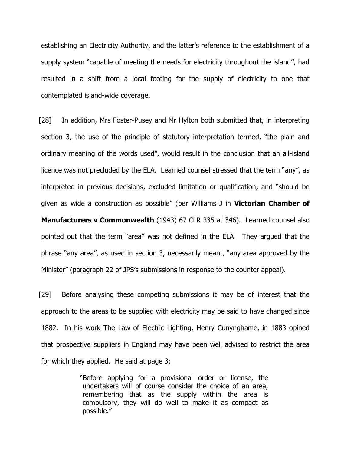establishing an Electricity Authority, and the latter's reference to the establishment of a supply system "capable of meeting the needs for electricity throughout the island", had resulted in a shift from a local footing for the supply of electricity to one that contemplated island-wide coverage.

[28] In addition, Mrs Foster-Pusey and Mr Hylton both submitted that, in interpreting section 3, the use of the principle of statutory interpretation termed, "the plain and ordinary meaning of the words used", would result in the conclusion that an all-island licence was not precluded by the ELA. Learned counsel stressed that the term "any", as interpreted in previous decisions, excluded limitation or qualification, and "should be given as wide a construction as possible" (per Williams J in **Victorian Chamber of Manufacturers v Commonwealth** (1943) 67 CLR 335 at 346). Learned counsel also pointed out that the term "area" was not defined in the ELA. They argued that the phrase "any area", as used in section 3, necessarily meant, "any area approved by the Minister" (paragraph 22 of JPS's submissions in response to the counter appeal).

[29] Before analysing these competing submissions it may be of interest that the approach to the areas to be supplied with electricity may be said to have changed since 1882. In his work The Law of Electric Lighting, Henry Cunynghame, in 1883 opined that prospective suppliers in England may have been well advised to restrict the area for which they applied. He said at page 3:

> "Before applying for a provisional order or license, the undertakers will of course consider the choice of an area, remembering that as the supply within the area is compulsory, they will do well to make it as compact as possible."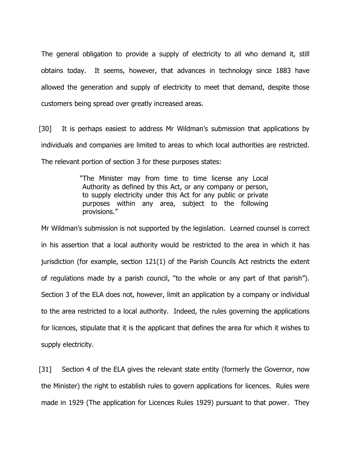The general obligation to provide a supply of electricity to all who demand it, still obtains today. It seems, however, that advances in technology since 1883 have allowed the generation and supply of electricity to meet that demand, despite those customers being spread over greatly increased areas.

[30] It is perhaps easiest to address Mr Wildman's submission that applications by individuals and companies are limited to areas to which local authorities are restricted. The relevant portion of section 3 for these purposes states:

> "The Minister may from time to time license any Local Authority as defined by this Act, or any company or person, to supply electricity under this Act for any public or private purposes within any area, subject to the following provisions."

Mr Wildman's submission is not supported by the legislation. Learned counsel is correct in his assertion that a local authority would be restricted to the area in which it has jurisdiction (for example, section 121(1) of the Parish Councils Act restricts the extent of regulations made by a parish council, "to the whole or any part of that parish"). Section 3 of the ELA does not, however, limit an application by a company or individual to the area restricted to a local authority. Indeed, the rules governing the applications for licences, stipulate that it is the applicant that defines the area for which it wishes to supply electricity.

[31] Section 4 of the ELA gives the relevant state entity (formerly the Governor, now the Minister) the right to establish rules to govern applications for licences. Rules were made in 1929 (The application for Licences Rules 1929) pursuant to that power. They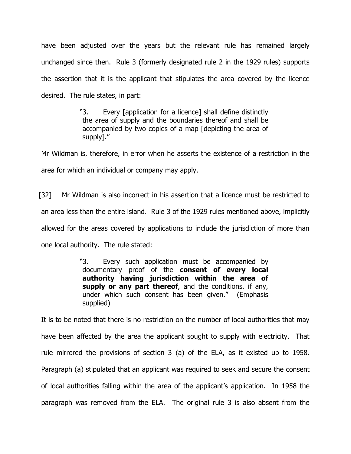have been adjusted over the years but the relevant rule has remained largely unchanged since then. Rule 3 (formerly designated rule 2 in the 1929 rules) supports the assertion that it is the applicant that stipulates the area covered by the licence desired. The rule states, in part:

> "3. Every [application for a licence] shall define distinctly the area of supply and the boundaries thereof and shall be accompanied by two copies of a map [depicting the area of supply]."

Mr Wildman is, therefore, in error when he asserts the existence of a restriction in the area for which an individual or company may apply.

[32] Mr Wildman is also incorrect in his assertion that a licence must be restricted to an area less than the entire island. Rule 3 of the 1929 rules mentioned above, implicitly allowed for the areas covered by applications to include the jurisdiction of more than one local authority. The rule stated:

> "3. Every such application must be accompanied by documentary proof of the **consent of every local authority having jurisdiction within the area of**  supply or any part thereof, and the conditions, if any, under which such consent has been given." (Emphasis supplied)

It is to be noted that there is no restriction on the number of local authorities that may have been affected by the area the applicant sought to supply with electricity. That rule mirrored the provisions of section 3 (a) of the ELA, as it existed up to 1958. Paragraph (a) stipulated that an applicant was required to seek and secure the consent of local authorities falling within the area of the applicant's application. In 1958 the paragraph was removed from the ELA. The original rule 3 is also absent from the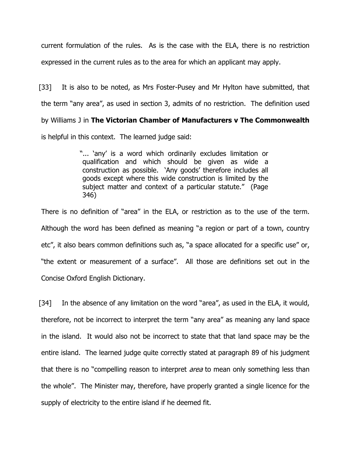current formulation of the rules. As is the case with the ELA, there is no restriction expressed in the current rules as to the area for which an applicant may apply.

[33] It is also to be noted, as Mrs Foster-Pusey and Mr Hylton have submitted, that the term "any area", as used in section 3, admits of no restriction. The definition used by Williams J in **The Victorian Chamber of Manufacturers v The Commonwealth** is helpful in this context. The learned judge said:

> "... 'any' is a word which ordinarily excludes limitation or qualification and which should be given as wide a construction as possible. 'Any goods' therefore includes all goods except where this wide construction is limited by the subject matter and context of a particular statute." (Page 346)

There is no definition of "area" in the ELA, or restriction as to the use of the term. Although the word has been defined as meaning "a region or part of a town, country etc", it also bears common definitions such as, "a space allocated for a specific use" or, "the extent or measurement of a surface". All those are definitions set out in the Concise Oxford English Dictionary.

[34] In the absence of any limitation on the word "area", as used in the ELA, it would, therefore, not be incorrect to interpret the term "any area" as meaning any land space in the island. It would also not be incorrect to state that that land space may be the entire island. The learned judge quite correctly stated at paragraph 89 of his judgment that there is no "compelling reason to interpret *area* to mean only something less than the whole". The Minister may, therefore, have properly granted a single licence for the supply of electricity to the entire island if he deemed fit.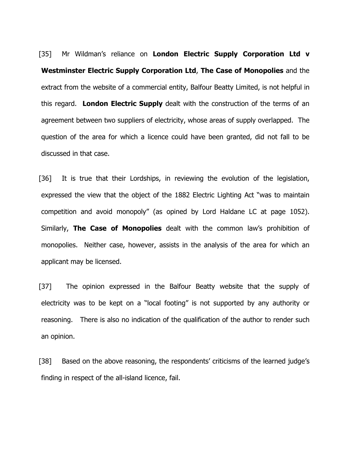[35] Mr Wildman's reliance on **London Electric Supply Corporation Ltd v Westminster Electric Supply Corporation Ltd**, **The Case of Monopolies** and the extract from the website of a commercial entity, Balfour Beatty Limited, is not helpful in this regard. **London Electric Supply** dealt with the construction of the terms of an agreement between two suppliers of electricity, whose areas of supply overlapped. The question of the area for which a licence could have been granted, did not fall to be discussed in that case.

[36] It is true that their Lordships, in reviewing the evolution of the legislation, expressed the view that the object of the 1882 Electric Lighting Act "was to maintain competition and avoid monopoly" (as opined by Lord Haldane LC at page 1052). Similarly, **The Case of Monopolies** dealt with the common law's prohibition of monopolies. Neither case, however, assists in the analysis of the area for which an applicant may be licensed.

[37] The opinion expressed in the Balfour Beatty website that the supply of electricity was to be kept on a "local footing" is not supported by any authority or reasoning. There is also no indication of the qualification of the author to render such an opinion.

[38] Based on the above reasoning, the respondents' criticisms of the learned judge's finding in respect of the all-island licence, fail.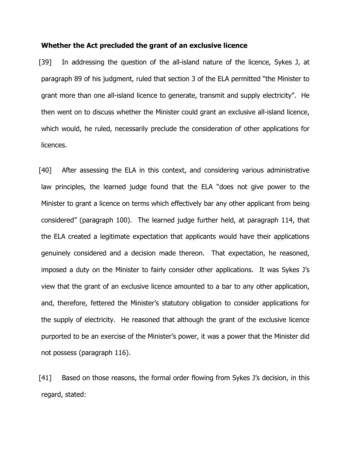#### **Whether the Act precluded the grant of an exclusive licence**

[39] In addressing the question of the all-island nature of the licence, Sykes J, at paragraph 89 of his judgment, ruled that section 3 of the ELA permitted "the Minister to grant more than one all-island licence to generate, transmit and supply electricity". He then went on to discuss whether the Minister could grant an exclusive all-island licence, which would, he ruled, necessarily preclude the consideration of other applications for licences.

[40] After assessing the ELA in this context, and considering various administrative law principles, the learned judge found that the ELA "does not give power to the Minister to grant a licence on terms which effectively bar any other applicant from being considered" (paragraph 100). The learned judge further held, at paragraph 114, that the ELA created a legitimate expectation that applicants would have their applications genuinely considered and a decision made thereon. That expectation, he reasoned, imposed a duty on the Minister to fairly consider other applications. It was Sykes J's view that the grant of an exclusive licence amounted to a bar to any other application, and, therefore, fettered the Minister's statutory obligation to consider applications for the supply of electricity. He reasoned that although the grant of the exclusive licence purported to be an exercise of the Minister's power, it was a power that the Minister did not possess (paragraph 116).

[41] Based on those reasons, the formal order flowing from Sykes J's decision, in this regard, stated: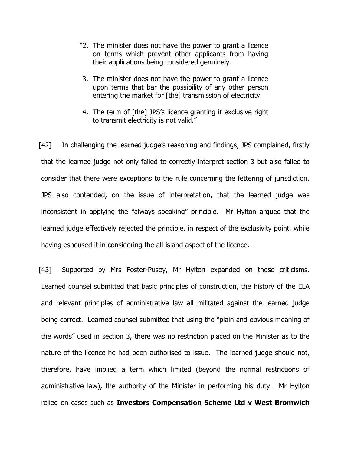- "2. The minister does not have the power to grant a licence on terms which prevent other applicants from having their applications being considered genuinely.
- 3. The minister does not have the power to grant a licence upon terms that bar the possibility of any other person entering the market for [the] transmission of electricity.
- 4. The term of [the] JPS's licence granting it exclusive right to transmit electricity is not valid."

[42] In challenging the learned judge's reasoning and findings, JPS complained, firstly that the learned judge not only failed to correctly interpret section 3 but also failed to consider that there were exceptions to the rule concerning the fettering of jurisdiction. JPS also contended, on the issue of interpretation, that the learned judge was inconsistent in applying the "always speaking" principle. Mr Hylton argued that the learned judge effectively rejected the principle, in respect of the exclusivity point, while having espoused it in considering the all-island aspect of the licence.

[43] Supported by Mrs Foster-Pusey, Mr Hylton expanded on those criticisms. Learned counsel submitted that basic principles of construction, the history of the ELA and relevant principles of administrative law all militated against the learned judge being correct. Learned counsel submitted that using the "plain and obvious meaning of the words" used in section 3, there was no restriction placed on the Minister as to the nature of the licence he had been authorised to issue. The learned judge should not, therefore, have implied a term which limited (beyond the normal restrictions of administrative law), the authority of the Minister in performing his duty. Mr Hylton relied on cases such as **Investors Compensation Scheme Ltd v West Bromwich**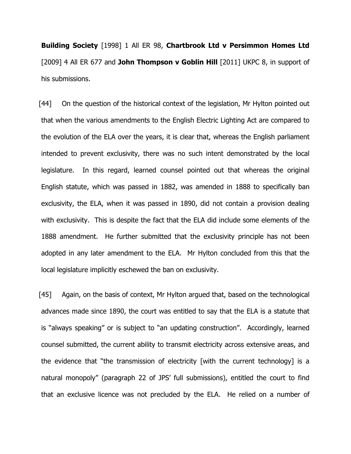**Building Society** [1998] 1 All ER 98, **Chartbrook Ltd v Persimmon Homes Ltd** [2009] 4 All ER 677 and **John Thompson v Goblin Hill** [2011] UKPC 8, in support of his submissions.

[44] On the question of the historical context of the legislation, Mr Hylton pointed out that when the various amendments to the English Electric Lighting Act are compared to the evolution of the ELA over the years, it is clear that, whereas the English parliament intended to prevent exclusivity, there was no such intent demonstrated by the local legislature. In this regard, learned counsel pointed out that whereas the original English statute, which was passed in 1882, was amended in 1888 to specifically ban exclusivity, the ELA, when it was passed in 1890, did not contain a provision dealing with exclusivity. This is despite the fact that the ELA did include some elements of the 1888 amendment. He further submitted that the exclusivity principle has not been adopted in any later amendment to the ELA. Mr Hylton concluded from this that the local legislature implicitly eschewed the ban on exclusivity.

[45] Again, on the basis of context, Mr Hylton argued that, based on the technological advances made since 1890, the court was entitled to say that the ELA is a statute that is "always speaking" or is subject to "an updating construction". Accordingly, learned counsel submitted, the current ability to transmit electricity across extensive areas, and the evidence that "the transmission of electricity [with the current technology] is a natural monopoly" (paragraph 22 of JPS' full submissions), entitled the court to find that an exclusive licence was not precluded by the ELA. He relied on a number of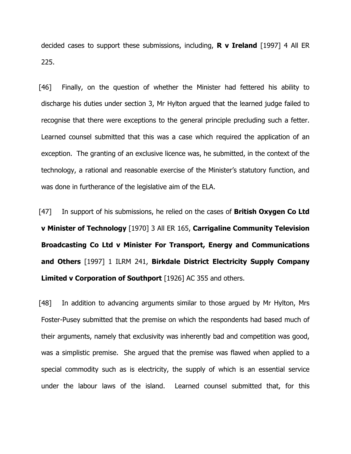decided cases to support these submissions, including, **R v Ireland** [1997] 4 All ER 225.

[46] Finally, on the question of whether the Minister had fettered his ability to discharge his duties under section 3, Mr Hylton argued that the learned judge failed to recognise that there were exceptions to the general principle precluding such a fetter. Learned counsel submitted that this was a case which required the application of an exception. The granting of an exclusive licence was, he submitted, in the context of the technology, a rational and reasonable exercise of the Minister's statutory function, and was done in furtherance of the legislative aim of the ELA.

[47] In support of his submissions, he relied on the cases of **British Oxygen Co Ltd v Minister of Technology** [1970] 3 All ER 165, **Carrigaline Community Television Broadcasting Co Ltd v Minister For Transport, Energy and Communications and Others** [1997] 1 ILRM 241, **Birkdale District Electricity Supply Company Limited v Corporation of Southport** [1926] AC 355 and others.

[48] In addition to advancing arguments similar to those argued by Mr Hylton, Mrs Foster-Pusey submitted that the premise on which the respondents had based much of their arguments, namely that exclusivity was inherently bad and competition was good, was a simplistic premise. She argued that the premise was flawed when applied to a special commodity such as is electricity, the supply of which is an essential service under the labour laws of the island. Learned counsel submitted that, for this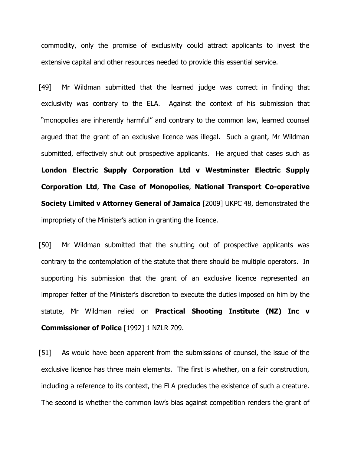commodity, only the promise of exclusivity could attract applicants to invest the extensive capital and other resources needed to provide this essential service.

[49] Mr Wildman submitted that the learned judge was correct in finding that exclusivity was contrary to the ELA. Against the context of his submission that "monopolies are inherently harmful" and contrary to the common law, learned counsel argued that the grant of an exclusive licence was illegal. Such a grant, Mr Wildman submitted, effectively shut out prospective applicants. He argued that cases such as **London Electric Supply Corporation Ltd v Westminster Electric Supply Corporation Ltd**, **The Case of Monopolies**, **National Transport Co-operative Society Limited v Attorney General of Jamaica** [2009] UKPC 48, demonstrated the impropriety of the Minister's action in granting the licence.

[50] Mr Wildman submitted that the shutting out of prospective applicants was contrary to the contemplation of the statute that there should be multiple operators. In supporting his submission that the grant of an exclusive licence represented an improper fetter of the Minister's discretion to execute the duties imposed on him by the statute, Mr Wildman relied on **Practical Shooting Institute (NZ) Inc v Commissioner of Police** [1992] 1 NZLR 709.

[51] As would have been apparent from the submissions of counsel, the issue of the exclusive licence has three main elements. The first is whether, on a fair construction, including a reference to its context, the ELA precludes the existence of such a creature. The second is whether the common law's bias against competition renders the grant of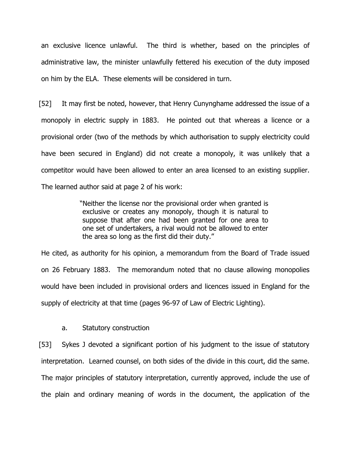an exclusive licence unlawful. The third is whether, based on the principles of administrative law, the minister unlawfully fettered his execution of the duty imposed on him by the ELA. These elements will be considered in turn.

[52] It may first be noted, however, that Henry Cunynghame addressed the issue of a monopoly in electric supply in 1883. He pointed out that whereas a licence or a provisional order (two of the methods by which authorisation to supply electricity could have been secured in England) did not create a monopoly, it was unlikely that a competitor would have been allowed to enter an area licensed to an existing supplier. The learned author said at page 2 of his work:

> "Neither the license nor the provisional order when granted is exclusive or creates any monopoly, though it is natural to suppose that after one had been granted for one area to one set of undertakers, a rival would not be allowed to enter the area so long as the first did their duty."

He cited, as authority for his opinion, a memorandum from the Board of Trade issued on 26 February 1883. The memorandum noted that no clause allowing monopolies would have been included in provisional orders and licences issued in England for the supply of electricity at that time (pages 96-97 of Law of Electric Lighting).

#### a. Statutory construction

[53] Sykes J devoted a significant portion of his judgment to the issue of statutory interpretation. Learned counsel, on both sides of the divide in this court, did the same. The major principles of statutory interpretation, currently approved, include the use of the plain and ordinary meaning of words in the document, the application of the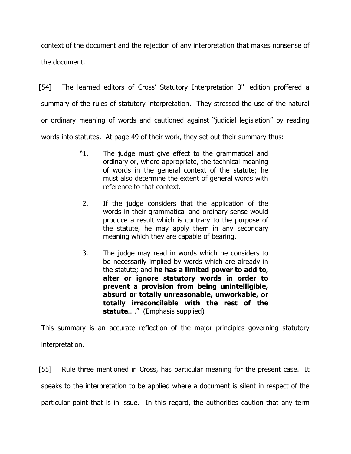context of the document and the rejection of any interpretation that makes nonsense of the document.

[54] The learned editors of Cross' Statutory Interpretation  $3<sup>rd</sup>$  edition proffered a summary of the rules of statutory interpretation. They stressed the use of the natural or ordinary meaning of words and cautioned against "judicial legislation" by reading words into statutes. At page 49 of their work, they set out their summary thus:

- "1. The judge must give effect to the grammatical and ordinary or, where appropriate, the technical meaning of words in the general context of the statute; he must also determine the extent of general words with reference to that context.
- 2. If the judge considers that the application of the words in their grammatical and ordinary sense would produce a result which is contrary to the purpose of the statute, he may apply them in any secondary meaning which they are capable of bearing.
- 3. The judge may read in words which he considers to be necessarily implied by words which are already in the statute; and **he has a limited power to add to, alter or ignore statutory words in order to prevent a provision from being unintelligible, absurd or totally unreasonable, unworkable, or totally irreconcilable with the rest of the statute**...." (Emphasis supplied)

This summary is an accurate reflection of the major principles governing statutory interpretation.

[55] Rule three mentioned in Cross, has particular meaning for the present case. It speaks to the interpretation to be applied where a document is silent in respect of the particular point that is in issue. In this regard, the authorities caution that any term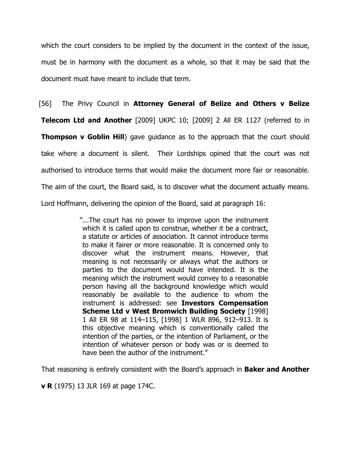which the court considers to be implied by the document in the context of the issue, must be in harmony with the document as a whole, so that it may be said that the document must have meant to include that term.

[56] The Privy Council in **Attorney General of Belize and Others v Belize** 

**Telecom Ltd and Another** [2009] UKPC 10; [2009] 2 All ER 1127 (referred to in **Thompson v Goblin Hill**) gave guidance as to the approach that the court should take where a document is silent. Their Lordships opined that the court was not authorised to introduce terms that would make the document more fair or reasonable. The aim of the court, the Board said, is to discover what the document actually means. Lord Hoffmann, delivering the opinion of the Board, said at paragraph 16:

> "...The court has no power to improve upon the instrument which it is called upon to construe, whether it be a contract, a statute or articles of association. It cannot introduce terms to make it fairer or more reasonable. It is concerned only to discover what the instrument means. However, that meaning is not necessarily or always what the authors or parties to the document would have intended. It is the meaning which the instrument would convey to a reasonable person having all the background knowledge which would reasonably be available to the audience to whom the instrument is addressed: see **Investors Compensation Scheme Ltd v West Bromwich Building Society** [1998] 1 All ER 98 at 114–115, [1998] 1 WLR 896, 912–913. It is this objective meaning which is conventionally called the intention of the parties, or the intention of Parliament, or the intention of whatever person or body was or is deemed to have been the author of the instrument."

That reasoning is entirely consistent with the Board's approach in **Baker and Another** 

**v R** (1975) 13 JLR 169 at page 174C.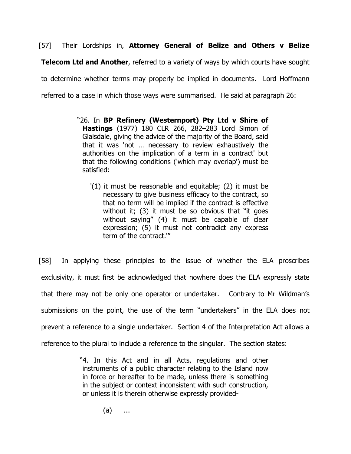[57] Their Lordships in, **Attorney General of Belize and Others v Belize** 

**Telecom Ltd and Another**, referred to a variety of ways by which courts have sought

to determine whether terms may properly be implied in documents. Lord Hoffmann

referred to a case in which those ways were summarised. He said at paragraph 26:

- "26. In **BP Refinery (Westernport) Pty Ltd v Shire of Hastings** (1977) 180 CLR 266, 282–283 Lord Simon of Glaisdale, giving the advice of the majority of the Board, said that it was 'not … necessary to review exhaustively the authorities on the implication of a term in a contract' but that the following conditions ('which may overlap') must be satisfied:
	- '(1) it must be reasonable and equitable; (2) it must be necessary to give business efficacy to the contract, so that no term will be implied if the contract is effective without it; (3) it must be so obvious that "it goes without saying" (4) it must be capable of clear expression; (5) it must not contradict any express term of the contract.'"

[58] In applying these principles to the issue of whether the ELA proscribes exclusivity, it must first be acknowledged that nowhere does the ELA expressly state that there may not be only one operator or undertaker. Contrary to Mr Wildman's submissions on the point, the use of the term "undertakers" in the ELA does not prevent a reference to a single undertaker. Section 4 of the Interpretation Act allows a reference to the plural to include a reference to the singular. The section states:

> "4. In this Act and in all Acts, regulations and other instruments of a public character relating to the Island now in force or hereafter to be made, unless there is something in the subject or context inconsistent with such construction, or unless it is therein otherwise expressly provided-

> > (a) ...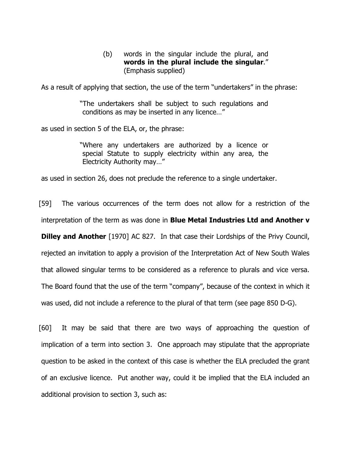(b) words in the singular include the plural, and **words in the plural include the singular**." (Emphasis supplied)

As a result of applying that section, the use of the term "undertakers" in the phrase:

"The undertakers shall be subject to such regulations and conditions as may be inserted in any licence…"

as used in section 5 of the ELA, or, the phrase:

"Where any undertakers are authorized by a licence or special Statute to supply electricity within any area, the Electricity Authority may…"

as used in section 26, does not preclude the reference to a single undertaker.

[59] The various occurrences of the term does not allow for a restriction of the interpretation of the term as was done in **Blue Metal Industries Ltd and Another v Dilley and Another** [1970] AC 827. In that case their Lordships of the Privy Council, rejected an invitation to apply a provision of the Interpretation Act of New South Wales that allowed singular terms to be considered as a reference to plurals and vice versa. The Board found that the use of the term "company", because of the context in which it was used, did not include a reference to the plural of that term (see page 850 D-G).

[60] It may be said that there are two ways of approaching the question of implication of a term into section 3. One approach may stipulate that the appropriate question to be asked in the context of this case is whether the ELA precluded the grant of an exclusive licence. Put another way, could it be implied that the ELA included an additional provision to section 3, such as: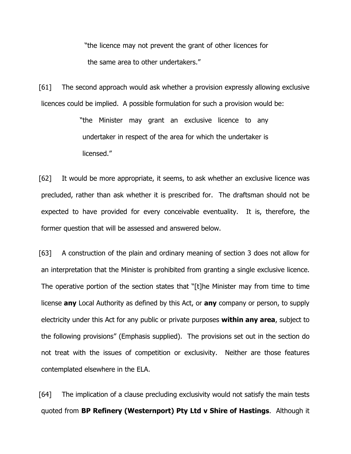"the licence may not prevent the grant of other licences for the same area to other undertakers."

[61] The second approach would ask whether a provision expressly allowing exclusive licences could be implied. A possible formulation for such a provision would be:

> "the Minister may grant an exclusive licence to any undertaker in respect of the area for which the undertaker is licensed."

[62] It would be more appropriate, it seems, to ask whether an exclusive licence was precluded, rather than ask whether it is prescribed for. The draftsman should not be expected to have provided for every conceivable eventuality. It is, therefore, the former question that will be assessed and answered below.

[63] A construction of the plain and ordinary meaning of section 3 does not allow for an interpretation that the Minister is prohibited from granting a single exclusive licence. The operative portion of the section states that "[t]he Minister may from time to time license **any** Local Authority as defined by this Act, or **any** company or person, to supply electricity under this Act for any public or private purposes **within any area**, subject to the following provisions" (Emphasis supplied). The provisions set out in the section do not treat with the issues of competition or exclusivity. Neither are those features contemplated elsewhere in the ELA.

[64] The implication of a clause precluding exclusivity would not satisfy the main tests quoted from **BP Refinery (Westernport) Pty Ltd v Shire of Hastings**. Although it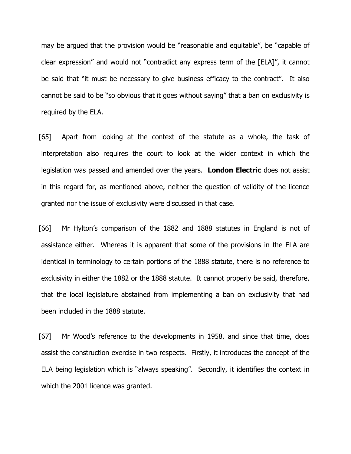may be argued that the provision would be "reasonable and equitable", be "capable of clear expression" and would not "contradict any express term of the [ELA]", it cannot be said that "it must be necessary to give business efficacy to the contract". It also cannot be said to be "so obvious that it goes without saying" that a ban on exclusivity is required by the ELA.

[65] Apart from looking at the context of the statute as a whole, the task of interpretation also requires the court to look at the wider context in which the legislation was passed and amended over the years. **London Electric** does not assist in this regard for, as mentioned above, neither the question of validity of the licence granted nor the issue of exclusivity were discussed in that case.

[66] Mr Hylton's comparison of the 1882 and 1888 statutes in England is not of assistance either. Whereas it is apparent that some of the provisions in the ELA are identical in terminology to certain portions of the 1888 statute, there is no reference to exclusivity in either the 1882 or the 1888 statute. It cannot properly be said, therefore, that the local legislature abstained from implementing a ban on exclusivity that had been included in the 1888 statute.

[67] Mr Wood's reference to the developments in 1958, and since that time, does assist the construction exercise in two respects. Firstly, it introduces the concept of the ELA being legislation which is "always speaking". Secondly, it identifies the context in which the 2001 licence was granted.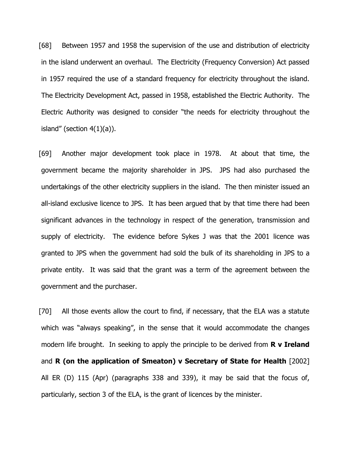[68] Between 1957 and 1958 the supervision of the use and distribution of electricity in the island underwent an overhaul. The Electricity (Frequency Conversion) Act passed in 1957 required the use of a standard frequency for electricity throughout the island. The Electricity Development Act, passed in 1958, established the Electric Authority. The Electric Authority was designed to consider "the needs for electricity throughout the island" (section  $4(1)(a)$ ).

[69] Another major development took place in 1978. At about that time, the government became the majority shareholder in JPS. JPS had also purchased the undertakings of the other electricity suppliers in the island. The then minister issued an all-island exclusive licence to JPS. It has been argued that by that time there had been significant advances in the technology in respect of the generation, transmission and supply of electricity. The evidence before Sykes J was that the 2001 licence was granted to JPS when the government had sold the bulk of its shareholding in JPS to a private entity. It was said that the grant was a term of the agreement between the government and the purchaser.

[70] All those events allow the court to find, if necessary, that the ELA was a statute which was "always speaking", in the sense that it would accommodate the changes modern life brought. In seeking to apply the principle to be derived from **R v Ireland**  and **R (on the application of Smeaton) v Secretary of State for Health** [2002] All ER (D) 115 (Apr) (paragraphs 338 and 339), it may be said that the focus of, particularly, section 3 of the ELA, is the grant of licences by the minister.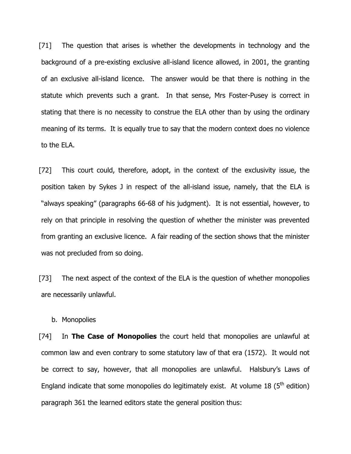[71] The question that arises is whether the developments in technology and the background of a pre-existing exclusive all-island licence allowed, in 2001, the granting of an exclusive all-island licence. The answer would be that there is nothing in the statute which prevents such a grant. In that sense, Mrs Foster-Pusey is correct in stating that there is no necessity to construe the ELA other than by using the ordinary meaning of its terms. It is equally true to say that the modern context does no violence to the ELA.

[72] This court could, therefore, adopt, in the context of the exclusivity issue, the position taken by Sykes J in respect of the all-island issue, namely, that the ELA is "always speaking" (paragraphs 66-68 of his judgment). It is not essential, however, to rely on that principle in resolving the question of whether the minister was prevented from granting an exclusive licence. A fair reading of the section shows that the minister was not precluded from so doing.

[73] The next aspect of the context of the ELA is the question of whether monopolies are necessarily unlawful.

b. Monopolies

[74] In **The Case of Monopolies** the court held that monopolies are unlawful at common law and even contrary to some statutory law of that era (1572). It would not be correct to say, however, that all monopolies are unlawful. Halsbury's Laws of England indicate that some monopolies do legitimately exist. At volume 18 ( $5<sup>th</sup>$  edition) paragraph 361 the learned editors state the general position thus: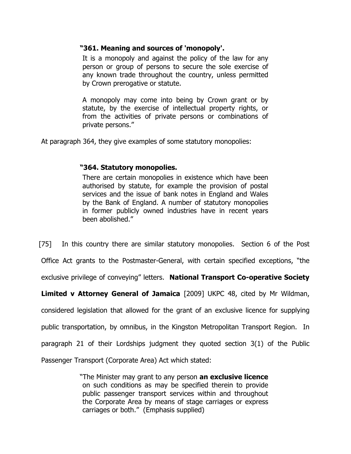### **"361. Meaning and sources of 'monopoly'.**

It is a monopoly and against the policy of the law for any person or group of persons to secure the sole exercise of any known trade throughout the country, unless permitted by Crown prerogative or statute.

A monopoly may come into being by Crown grant or by statute, by the exercise of intellectual property rights, or from the activities of private persons or combinations of private persons."

At paragraph 364, they give examples of some statutory monopolies:

## **"364. Statutory monopolies.**

There are certain monopolies in existence which have been authorised by statute, for example the provision of postal services and the issue of bank notes in England and Wales by the Bank of England. A number of statutory monopolies in former publicly owned industries have in recent years been abolished."

[75] In this country there are similar statutory monopolies. Section 6 of the Post

Office Act grants to the Postmaster-General, with certain specified exceptions, "the

exclusive privilege of conveying" letters. **National Transport Co-operative Society** 

**Limited v Attorney General of Jamaica** [2009] UKPC 48, cited by Mr Wildman,

considered legislation that allowed for the grant of an exclusive licence for supplying

public transportation, by omnibus, in the Kingston Metropolitan Transport Region. In

paragraph 21 of their Lordships judgment they quoted section 3(1) of the Public

Passenger Transport (Corporate Area) Act which stated:

"The Minister may grant to any person **an exclusive licence** on such conditions as may be specified therein to provide public passenger transport services within and throughout the Corporate Area by means of stage carriages or express carriages or both." (Emphasis supplied)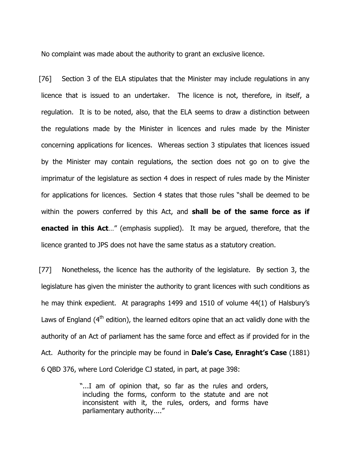No complaint was made about the authority to grant an exclusive licence.

[76] Section 3 of the ELA stipulates that the Minister may include regulations in any licence that is issued to an undertaker. The licence is not, therefore, in itself, a regulation. It is to be noted, also, that the ELA seems to draw a distinction between the regulations made by the Minister in licences and rules made by the Minister concerning applications for licences. Whereas section 3 stipulates that licences issued by the Minister may contain regulations, the section does not go on to give the imprimatur of the legislature as section 4 does in respect of rules made by the Minister for applications for licences. Section 4 states that those rules "shall be deemed to be within the powers conferred by this Act, and **shall be of the same force as if enacted in this Act**…" (emphasis supplied). It may be argued, therefore, that the licence granted to JPS does not have the same status as a statutory creation.

[77] Nonetheless, the licence has the authority of the legislature. By section 3, the legislature has given the minister the authority to grant licences with such conditions as he may think expedient. At paragraphs 1499 and 1510 of volume 44(1) of Halsbury's Laws of England  $(4<sup>th</sup>$  edition), the learned editors opine that an act validly done with the authority of an Act of parliament has the same force and effect as if provided for in the Act. Authority for the principle may be found in **Dale's Case, Enraght's Case** (1881) 6 QBD 376, where Lord Coleridge CJ stated, in part, at page 398:

> "...I am of opinion that, so far as the rules and orders, including the forms, conform to the statute and are not inconsistent with it, the rules, orders, and forms have parliamentary authority...."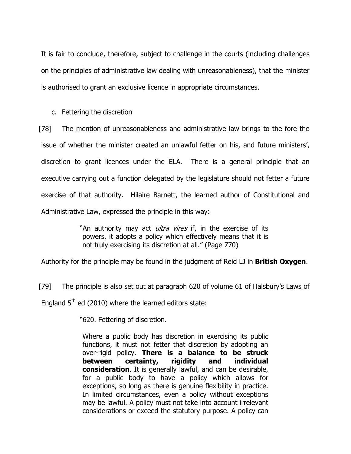It is fair to conclude, therefore, subject to challenge in the courts (including challenges on the principles of administrative law dealing with unreasonableness), that the minister is authorised to grant an exclusive licence in appropriate circumstances.

c. Fettering the discretion

[78] The mention of unreasonableness and administrative law brings to the fore the issue of whether the minister created an unlawful fetter on his, and future ministers', discretion to grant licences under the ELA. There is a general principle that an executive carrying out a function delegated by the legislature should not fetter a future exercise of that authority. Hilaire Barnett, the learned author of Constitutional and Administrative Law, expressed the principle in this way:

> "An authority may act *ultra vires* if, in the exercise of its powers, it adopts a policy which effectively means that it is not truly exercising its discretion at all." (Page 770)

Authority for the principle may be found in the judgment of Reid LJ in **British Oxygen**.

[79] The principle is also set out at paragraph 620 of volume 61 of Halsbury's Laws of England  $5<sup>th</sup>$  ed (2010) where the learned editors state:

"620. Fettering of discretion.

Where a public body has discretion in exercising its public functions, it must not fetter that discretion by adopting an over-rigid policy. **There is a balance to be struck between certainty, rigidity and individual consideration**. It is generally lawful, and can be desirable, for a public body to have a policy which allows for exceptions, so long as there is genuine flexibility in practice. In limited circumstances, even a policy without exceptions may be lawful. A policy must not take into account irrelevant considerations or exceed the statutory purpose. A policy can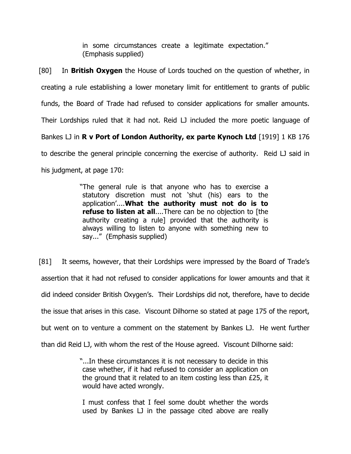in some circumstances create a legitimate expectation." (Emphasis supplied)

[80] In **British Oxygen** the House of Lords touched on the question of whether, in creating a rule establishing a lower monetary limit for entitlement to grants of public funds, the Board of Trade had refused to consider applications for smaller amounts. Their Lordships ruled that it had not. Reid LJ included the more poetic language of Bankes LJ in **R v Port of London Authority, ex parte Kynoch Ltd** [1919] 1 KB 176 to describe the general principle concerning the exercise of authority. Reid LJ said in his judgment, at page 170:

> "The general rule is that anyone who has to exercise a statutory discretion must not 'shut (his) ears to the application'....**What the authority must not do is to refuse to listen at all**....There can be no objection to [the authority creating a rule] provided that the authority is always willing to listen to anyone with something new to say..." (Emphasis supplied)

[81] It seems, however, that their Lordships were impressed by the Board of Trade's assertion that it had not refused to consider applications for lower amounts and that it did indeed consider British Oxygen's. Their Lordships did not, therefore, have to decide the issue that arises in this case. Viscount Dilhorne so stated at page 175 of the report, but went on to venture a comment on the statement by Bankes LJ. He went further than did Reid LJ, with whom the rest of the House agreed. Viscount Dilhorne said:

> "...In these circumstances it is not necessary to decide in this case whether, if it had refused to consider an application on the ground that it related to an item costing less than £25, it would have acted wrongly.

I must confess that I feel some doubt whether the words used by Bankes LJ in the passage cited above are really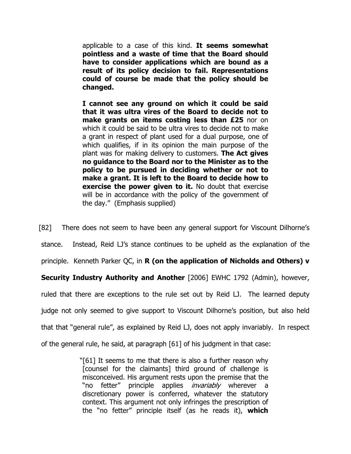applicable to a case of this kind. **It seems somewhat pointless and a waste of time that the Board should have to consider applications which are bound as a result of its policy decision to fail. Representations could of course be made that the policy should be changed.**

**I cannot see any ground on which it could be said that it was ultra vires of the Board to decide not to make grants on items costing less than £25** nor on which it could be said to be ultra vires to decide not to make a grant in respect of plant used for a dual purpose, one of which qualifies, if in its opinion the main purpose of the plant was for making delivery to customers. **The Act gives no guidance to the Board nor to the Minister as to the policy to be pursued in deciding whether or not to make a grant. It is left to the Board to decide how to exercise the power given to it.** No doubt that exercise will be in accordance with the policy of the government of the day." (Emphasis supplied)

[82] There does not seem to have been any general support for Viscount Dilhorne's

stance. Instead, Reid LJ's stance continues to be upheld as the explanation of the

principle. Kenneth Parker QC, in **R (on the application of Nicholds and Others) v** 

**Security Industry Authority and Another** [2006] EWHC 1792 (Admin), however,

ruled that there are exceptions to the rule set out by Reid LJ. The learned deputy

judge not only seemed to give support to Viscount Dilhorne's position, but also held

that that "general rule", as explained by Reid LJ, does not apply invariably. In respect

of the general rule, he said, at paragraph [61] of his judgment in that case:

"[61] It seems to me that there is also a further reason why [counsel for the claimants] third ground of challenge is misconceived. His argument rests upon the premise that the "no fetter" principle applies *invariably* wherever a discretionary power is conferred, whatever the statutory context. This argument not only infringes the prescription of the "no fetter" principle itself (as he reads it), **which**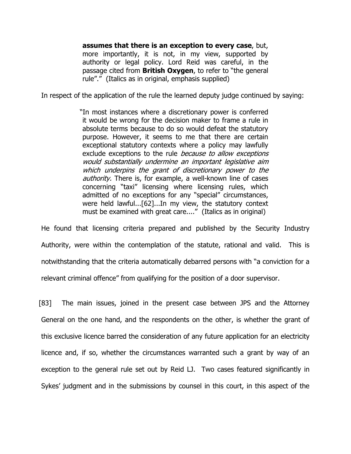**assumes that there is an exception to every case**, but, more importantly, it is not, in my view, supported by authority or legal policy. Lord Reid was careful, in the passage cited from **British Oxygen**, to refer to "the general rule"." (Italics as in original, emphasis supplied)

In respect of the application of the rule the learned deputy judge continued by saying:

"In most instances where a discretionary power is conferred it would be wrong for the decision maker to frame a rule in absolute terms because to do so would defeat the statutory purpose. However, it seems to me that there are certain exceptional statutory contexts where a policy may lawfully exclude exceptions to the rule *because to allow exceptions* would substantially undermine an important legislative aim which underpins the grant of discretionary power to the authority. There is, for example, a well-known line of cases concerning "taxi" licensing where licensing rules, which admitted of no exceptions for any "special" circumstances, were held lawful...[62]...In my view, the statutory context must be examined with great care...." (Italics as in original)

He found that licensing criteria prepared and published by the Security Industry Authority, were within the contemplation of the statute, rational and valid. This is notwithstanding that the criteria automatically debarred persons with "a conviction for a relevant criminal offence" from qualifying for the position of a door supervisor.

[83] The main issues, joined in the present case between JPS and the Attorney General on the one hand, and the respondents on the other, is whether the grant of this exclusive licence barred the consideration of any future application for an electricity licence and, if so, whether the circumstances warranted such a grant by way of an exception to the general rule set out by Reid LJ. Two cases featured significantly in Sykes' judgment and in the submissions by counsel in this court, in this aspect of the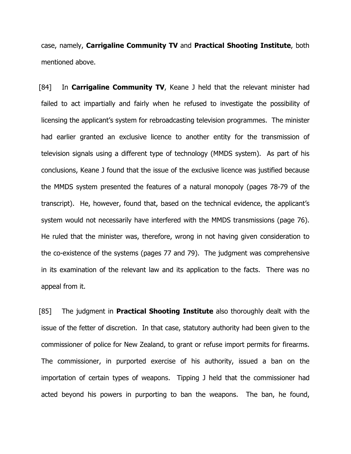case, namely, **Carrigaline Community TV** and **Practical Shooting Institute**, both mentioned above.

[84] In **Carrigaline Community TV**, Keane J held that the relevant minister had failed to act impartially and fairly when he refused to investigate the possibility of licensing the applicant's system for rebroadcasting television programmes. The minister had earlier granted an exclusive licence to another entity for the transmission of television signals using a different type of technology (MMDS system). As part of his conclusions, Keane J found that the issue of the exclusive licence was justified because the MMDS system presented the features of a natural monopoly (pages 78-79 of the transcript). He, however, found that, based on the technical evidence, the applicant's system would not necessarily have interfered with the MMDS transmissions (page 76). He ruled that the minister was, therefore, wrong in not having given consideration to the co-existence of the systems (pages 77 and 79). The judgment was comprehensive in its examination of the relevant law and its application to the facts. There was no appeal from it.

[85] The judgment in **Practical Shooting Institute** also thoroughly dealt with the issue of the fetter of discretion. In that case, statutory authority had been given to the commissioner of police for New Zealand, to grant or refuse import permits for firearms. The commissioner, in purported exercise of his authority, issued a ban on the importation of certain types of weapons. Tipping J held that the commissioner had acted beyond his powers in purporting to ban the weapons. The ban, he found,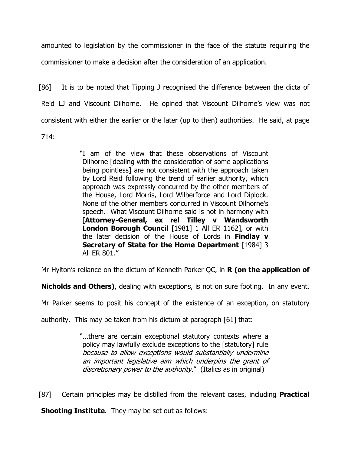amounted to legislation by the commissioner in the face of the statute requiring the commissioner to make a decision after the consideration of an application.

[86] It is to be noted that Tipping J recognised the difference between the dicta of Reid LJ and Viscount Dilhorne. He opined that Viscount Dilhorne's view was not consistent with either the earlier or the later (up to then) authorities. He said, at page 714:

> "I am of the view that these observations of Viscount Dilhorne [dealing with the consideration of some applications being pointless] are not consistent with the approach taken by Lord Reid following the trend of earlier authority, which approach was expressly concurred by the other members of the House, Lord Morris, Lord Wilberforce and Lord Diplock. None of the other members concurred in Viscount Dilhorne's speech. What Viscount Dilhorne said is not in harmony with [**Attorney-General, ex rel Tilley v Wandsworth London Borough Council** [1981] 1 All ER 1162], or with the later decision of the House of Lords in **Findlay v Secretary of State for the Home Department** [1984] 3 All ER 801."

Mr Hylton's reliance on the dictum of Kenneth Parker QC, in **R (on the application of** 

**Nicholds and Others)**, dealing with exceptions, is not on sure footing. In any event,

Mr Parker seems to posit his concept of the existence of an exception, on statutory

authority. This may be taken from his dictum at paragraph [61] that:

"…there are certain exceptional statutory contexts where a policy may lawfully exclude exceptions to the [statutory] rule because to allow exceptions would substantially undermine an important legislative aim which underpins the grant of discretionary power to the authority." (Italics as in original)

[87] Certain principles may be distilled from the relevant cases, including **Practical** 

**Shooting Institute**. They may be set out as follows: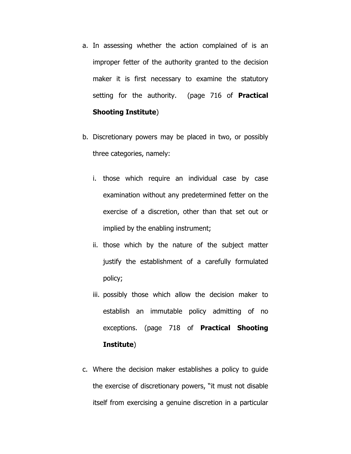- a. In assessing whether the action complained of is an improper fetter of the authority granted to the decision maker it is first necessary to examine the statutory setting for the authority. (page 716 of **Practical Shooting Institute**)
- b. Discretionary powers may be placed in two, or possibly three categories, namely:
	- i. those which require an individual case by case examination without any predetermined fetter on the exercise of a discretion, other than that set out or implied by the enabling instrument;
	- ii. those which by the nature of the subject matter justify the establishment of a carefully formulated policy;
	- iii. possibly those which allow the decision maker to establish an immutable policy admitting of no exceptions. (page 718 of **Practical Shooting Institute**)
- c. Where the decision maker establishes a policy to guide the exercise of discretionary powers, "it must not disable itself from exercising a genuine discretion in a particular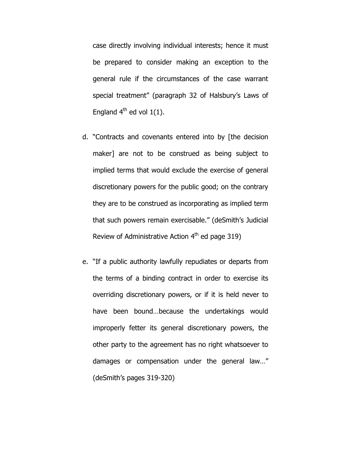case directly involving individual interests; hence it must be prepared to consider making an exception to the general rule if the circumstances of the case warrant special treatment" (paragraph 32 of Halsbury's Laws of England  $4^{th}$  ed vol  $1(1)$ .

- d. "Contracts and covenants entered into by [the decision maker] are not to be construed as being subject to implied terms that would exclude the exercise of general discretionary powers for the public good; on the contrary they are to be construed as incorporating as implied term that such powers remain exercisable." (deSmith's Judicial Review of Administrative Action  $4<sup>th</sup>$  ed page 319)
- e. "If a public authority lawfully repudiates or departs from the terms of a binding contract in order to exercise its overriding discretionary powers, or if it is held never to have been bound…because the undertakings would improperly fetter its general discretionary powers, the other party to the agreement has no right whatsoever to damages or compensation under the general law…" (deSmith's pages 319-320)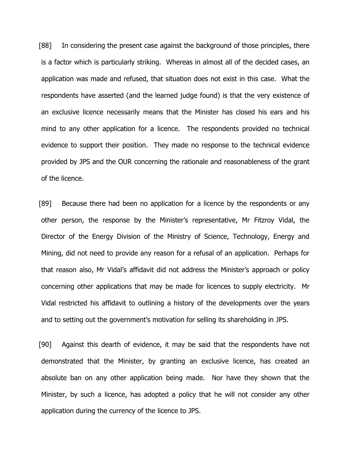[88] In considering the present case against the background of those principles, there is a factor which is particularly striking. Whereas in almost all of the decided cases, an application was made and refused, that situation does not exist in this case. What the respondents have asserted (and the learned judge found) is that the very existence of an exclusive licence necessarily means that the Minister has closed his ears and his mind to any other application for a licence. The respondents provided no technical evidence to support their position. They made no response to the technical evidence provided by JPS and the OUR concerning the rationale and reasonableness of the grant of the licence.

[89] Because there had been no application for a licence by the respondents or any other person, the response by the Minister's representative, Mr Fitzroy Vidal, the Director of the Energy Division of the Ministry of Science, Technology, Energy and Mining, did not need to provide any reason for a refusal of an application. Perhaps for that reason also, Mr Vidal's affidavit did not address the Minister's approach or policy concerning other applications that may be made for licences to supply electricity. Mr Vidal restricted his affidavit to outlining a history of the developments over the years and to setting out the government's motivation for selling its shareholding in JPS.

[90] Against this dearth of evidence, it may be said that the respondents have not demonstrated that the Minister, by granting an exclusive licence, has created an absolute ban on any other application being made. Nor have they shown that the Minister, by such a licence, has adopted a policy that he will not consider any other application during the currency of the licence to JPS.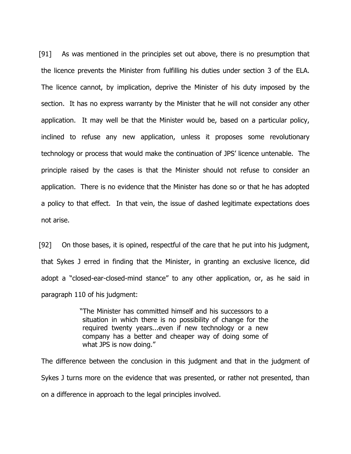[91] As was mentioned in the principles set out above, there is no presumption that the licence prevents the Minister from fulfilling his duties under section 3 of the ELA. The licence cannot, by implication, deprive the Minister of his duty imposed by the section. It has no express warranty by the Minister that he will not consider any other application. It may well be that the Minister would be, based on a particular policy, inclined to refuse any new application, unless it proposes some revolutionary technology or process that would make the continuation of JPS' licence untenable. The principle raised by the cases is that the Minister should not refuse to consider an application. There is no evidence that the Minister has done so or that he has adopted a policy to that effect. In that vein, the issue of dashed legitimate expectations does not arise.

[92] On those bases, it is opined, respectful of the care that he put into his judgment, that Sykes J erred in finding that the Minister, in granting an exclusive licence, did adopt a "closed-ear-closed-mind stance" to any other application, or, as he said in paragraph 110 of his judgment:

> "The Minister has committed himself and his successors to a situation in which there is no possibility of change for the required twenty years...even if new technology or a new company has a better and cheaper way of doing some of what JPS is now doing."

The difference between the conclusion in this judgment and that in the judgment of Sykes J turns more on the evidence that was presented, or rather not presented, than on a difference in approach to the legal principles involved.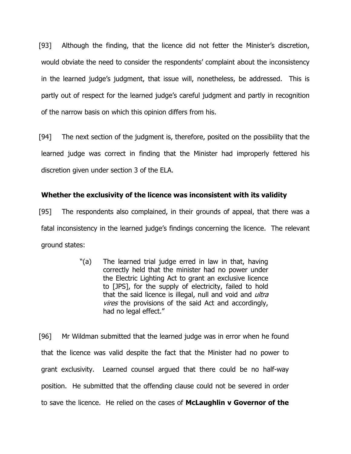[93] Although the finding, that the licence did not fetter the Minister's discretion, would obviate the need to consider the respondents' complaint about the inconsistency in the learned judge's judgment, that issue will, nonetheless, be addressed. This is partly out of respect for the learned judge's careful judgment and partly in recognition of the narrow basis on which this opinion differs from his.

[94] The next section of the judgment is, therefore, posited on the possibility that the learned judge was correct in finding that the Minister had improperly fettered his discretion given under section 3 of the ELA.

### **Whether the exclusivity of the licence was inconsistent with its validity**

[95] The respondents also complained, in their grounds of appeal, that there was a fatal inconsistency in the learned judge's findings concerning the licence. The relevant ground states:

> "(a) The learned trial judge erred in law in that, having correctly held that the minister had no power under the Electric Lighting Act to grant an exclusive licence to [JPS], for the supply of electricity, failed to hold that the said licence is illegal, null and void and *ultra* vires the provisions of the said Act and accordingly, had no legal effect."

[96] Mr Wildman submitted that the learned judge was in error when he found that the licence was valid despite the fact that the Minister had no power to grant exclusivity. Learned counsel argued that there could be no half-way position. He submitted that the offending clause could not be severed in order to save the licence. He relied on the cases of **McLaughlin v Governor of the**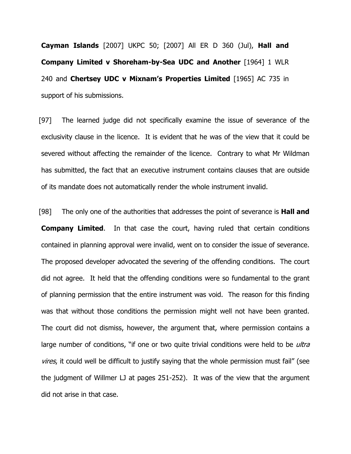**Cayman Islands** [2007] UKPC 50; [2007] All ER D 360 (Jul), **Hall and Company Limited v Shoreham-by-Sea UDC and Another** [1964] 1 WLR 240 and **Chertsey UDC v Mixnam's Properties Limited** [1965] AC 735 in support of his submissions.

[97] The learned judge did not specifically examine the issue of severance of the exclusivity clause in the licence. It is evident that he was of the view that it could be severed without affecting the remainder of the licence. Contrary to what Mr Wildman has submitted, the fact that an executive instrument contains clauses that are outside of its mandate does not automatically render the whole instrument invalid.

[98] The only one of the authorities that addresses the point of severance is **Hall and Company Limited**. In that case the court, having ruled that certain conditions contained in planning approval were invalid, went on to consider the issue of severance. The proposed developer advocated the severing of the offending conditions. The court did not agree. It held that the offending conditions were so fundamental to the grant of planning permission that the entire instrument was void. The reason for this finding was that without those conditions the permission might well not have been granted. The court did not dismiss, however, the argument that, where permission contains a large number of conditions, "if one or two quite trivial conditions were held to be *ultra* vires, it could well be difficult to justify saying that the whole permission must fail" (see the judgment of Willmer LJ at pages 251-252). It was of the view that the argument did not arise in that case.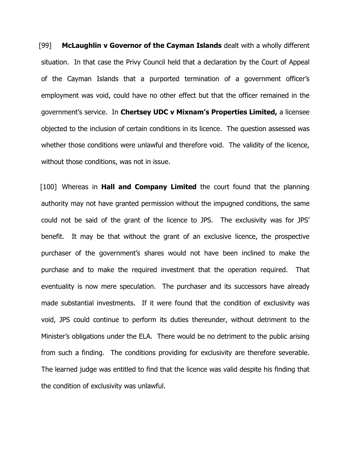[99] **McLaughlin v Governor of the Cayman Islands** dealt with a wholly different situation. In that case the Privy Council held that a declaration by the Court of Appeal of the Cayman Islands that a purported termination of a government officer's employment was void, could have no other effect but that the officer remained in the government's service. In **Chertsey UDC v Mixnam's Properties Limited,** a licensee objected to the inclusion of certain conditions in its licence. The question assessed was whether those conditions were unlawful and therefore void. The validity of the licence, without those conditions, was not in issue.

[100] Whereas in **Hall and Company Limited** the court found that the planning authority may not have granted permission without the impugned conditions, the same could not be said of the grant of the licence to JPS. The exclusivity was for JPS' benefit. It may be that without the grant of an exclusive licence, the prospective purchaser of the government's shares would not have been inclined to make the purchase and to make the required investment that the operation required. That eventuality is now mere speculation. The purchaser and its successors have already made substantial investments. If it were found that the condition of exclusivity was void, JPS could continue to perform its duties thereunder, without detriment to the Minister's obligations under the ELA. There would be no detriment to the public arising from such a finding. The conditions providing for exclusivity are therefore severable. The learned judge was entitled to find that the licence was valid despite his finding that the condition of exclusivity was unlawful.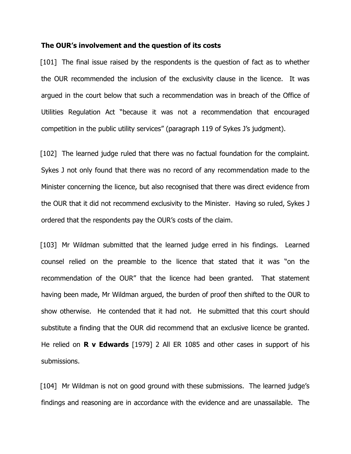#### **The OUR's involvement and the question of its costs**

[101] The final issue raised by the respondents is the question of fact as to whether the OUR recommended the inclusion of the exclusivity clause in the licence. It was argued in the court below that such a recommendation was in breach of the Office of Utilities Regulation Act "because it was not a recommendation that encouraged competition in the public utility services" (paragraph 119 of Sykes J's judgment).

[102] The learned judge ruled that there was no factual foundation for the complaint. Sykes J not only found that there was no record of any recommendation made to the Minister concerning the licence, but also recognised that there was direct evidence from the OUR that it did not recommend exclusivity to the Minister. Having so ruled, Sykes J ordered that the respondents pay the OUR's costs of the claim.

[103] Mr Wildman submitted that the learned judge erred in his findings. Learned counsel relied on the preamble to the licence that stated that it was "on the recommendation of the OUR" that the licence had been granted. That statement having been made, Mr Wildman argued, the burden of proof then shifted to the OUR to show otherwise. He contended that it had not. He submitted that this court should substitute a finding that the OUR did recommend that an exclusive licence be granted. He relied on **R v Edwards** [1979] 2 All ER 1085 and other cases in support of his submissions.

[104] Mr Wildman is not on good ground with these submissions. The learned judge's findings and reasoning are in accordance with the evidence and are unassailable. The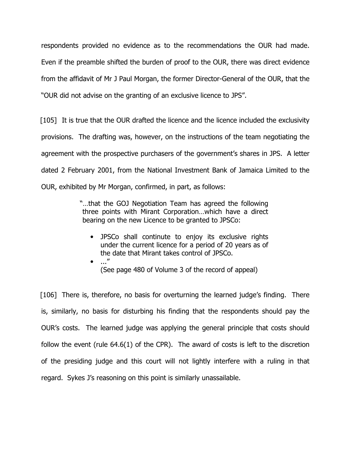respondents provided no evidence as to the recommendations the OUR had made. Even if the preamble shifted the burden of proof to the OUR, there was direct evidence from the affidavit of Mr J Paul Morgan, the former Director-General of the OUR, that the "OUR did not advise on the granting of an exclusive licence to JPS".

[105] It is true that the OUR drafted the licence and the licence included the exclusivity provisions. The drafting was, however, on the instructions of the team negotiating the agreement with the prospective purchasers of the government's shares in JPS. A letter dated 2 February 2001, from the National Investment Bank of Jamaica Limited to the OUR, exhibited by Mr Morgan, confirmed, in part, as follows:

> "…that the GOJ Negotiation Team has agreed the following three points with Mirant Corporation…which have a direct bearing on the new Licence to be granted to JPSCo:

- JPSCo shall continute to enjoy its exclusive rights under the current licence for a period of 20 years as of the date that Mirant takes control of JPSCo.
- $\bullet$  ..." (See page 480 of Volume 3 of the record of appeal)

[106] There is, therefore, no basis for overturning the learned judge's finding. There is, similarly, no basis for disturbing his finding that the respondents should pay the OUR's costs. The learned judge was applying the general principle that costs should follow the event (rule 64.6(1) of the CPR). The award of costs is left to the discretion of the presiding judge and this court will not lightly interfere with a ruling in that regard. Sykes J's reasoning on this point is similarly unassailable.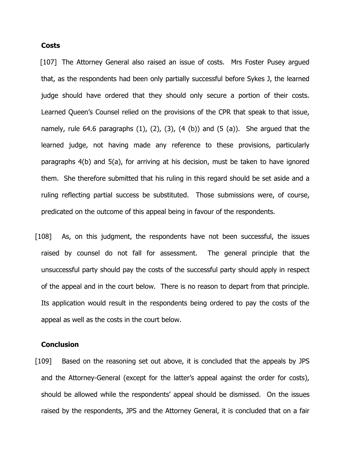#### **Costs**

[107] The Attorney General also raised an issue of costs. Mrs Foster Pusey argued that, as the respondents had been only partially successful before Sykes J, the learned judge should have ordered that they should only secure a portion of their costs. Learned Queen's Counsel relied on the provisions of the CPR that speak to that issue, namely, rule 64.6 paragraphs  $(1)$ ,  $(2)$ ,  $(3)$ ,  $(4 \n(b))$  and  $(5 \n(a))$ . She argued that the learned judge, not having made any reference to these provisions, particularly paragraphs 4(b) and 5(a), for arriving at his decision, must be taken to have ignored them. She therefore submitted that his ruling in this regard should be set aside and a ruling reflecting partial success be substituted. Those submissions were, of course, predicated on the outcome of this appeal being in favour of the respondents.

[108] As, on this judgment, the respondents have not been successful, the issues raised by counsel do not fall for assessment. The general principle that the unsuccessful party should pay the costs of the successful party should apply in respect of the appeal and in the court below. There is no reason to depart from that principle. Its application would result in the respondents being ordered to pay the costs of the appeal as well as the costs in the court below.

#### **Conclusion**

[109] Based on the reasoning set out above, it is concluded that the appeals by JPS and the Attorney-General (except for the latter's appeal against the order for costs), should be allowed while the respondents' appeal should be dismissed. On the issues raised by the respondents, JPS and the Attorney General, it is concluded that on a fair